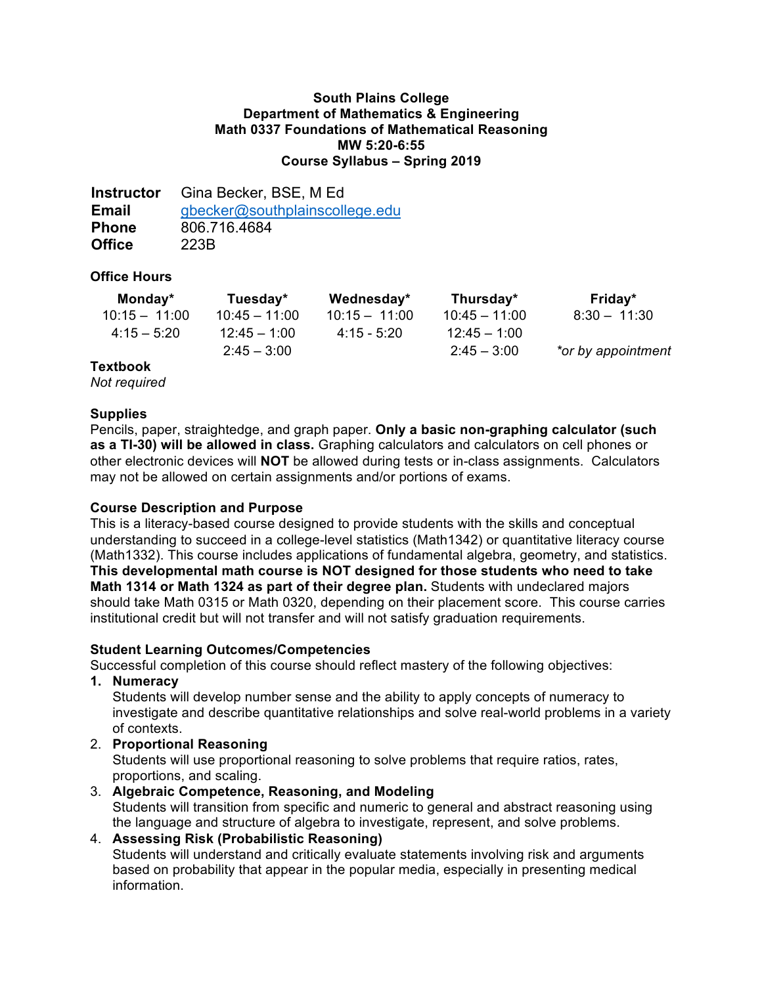## **South Plains College Department of Mathematics & Engineering Math 0337 Foundations of Mathematical Reasoning MW 5:20-6:55 Course Syllabus – Spring 2019**

**Instructor** Gina Becker, BSE, M Ed **Email** gbecker@southplainscollege.edu **Phone** 806.716.4684 **Office** 223B

## **Office Hours**

| Monday*         | Tuesday*        | Wednesday*      | Thursday*       | Friday*            |
|-----------------|-----------------|-----------------|-----------------|--------------------|
| $10:15 - 11:00$ | $10:45 - 11:00$ | $10:15 - 11:00$ | $10:45 - 11:00$ | $8:30 - 11:30$     |
| $4:15-5:20$     | $12:45 - 1:00$  | $4:15 - 5:20$   | $12:45 - 1:00$  |                    |
|                 | $2:45 - 3:00$   |                 | $2:45 - 3:00$   | *or by appointment |

## **Textbook**

*Not required*

## **Supplies**

Pencils, paper, straightedge, and graph paper. **Only a basic non-graphing calculator (such as a TI-30) will be allowed in class.** Graphing calculators and calculators on cell phones or other electronic devices will **NOT** be allowed during tests or in-class assignments. Calculators may not be allowed on certain assignments and/or portions of exams.

# **Course Description and Purpose**

This is a literacy-based course designed to provide students with the skills and conceptual understanding to succeed in a college-level statistics (Math1342) or quantitative literacy course (Math1332). This course includes applications of fundamental algebra, geometry, and statistics. **This developmental math course is NOT designed for those students who need to take Math 1314 or Math 1324 as part of their degree plan.** Students with undeclared majors should take Math 0315 or Math 0320, depending on their placement score. This course carries institutional credit but will not transfer and will not satisfy graduation requirements.

## **Student Learning Outcomes/Competencies**

Successful completion of this course should reflect mastery of the following objectives:

**1. Numeracy**

Students will develop number sense and the ability to apply concepts of numeracy to investigate and describe quantitative relationships and solve real-world problems in a variety of contexts.

2. **Proportional Reasoning**

Students will use proportional reasoning to solve problems that require ratios, rates, proportions, and scaling.

- 3. **Algebraic Competence, Reasoning, and Modeling** Students will transition from specific and numeric to general and abstract reasoning using the language and structure of algebra to investigate, represent, and solve problems.
- 4. **Assessing Risk (Probabilistic Reasoning)** Students will understand and critically evaluate statements involving risk and arguments based on probability that appear in the popular media, especially in presenting medical information.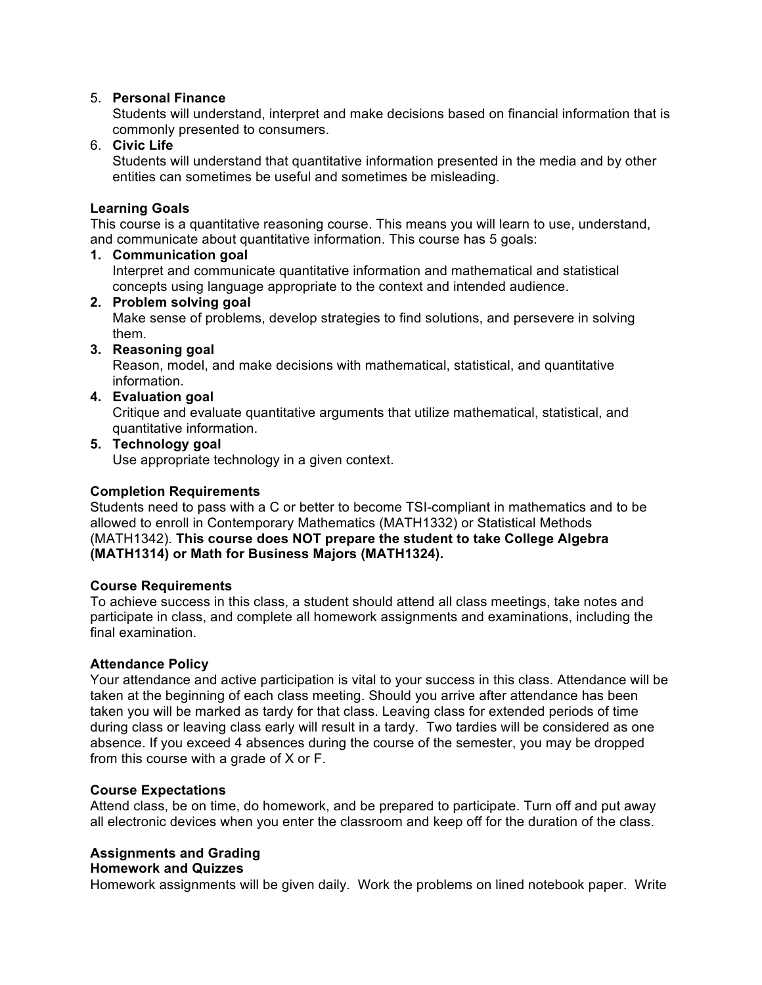## 5. **Personal Finance**

Students will understand, interpret and make decisions based on financial information that is commonly presented to consumers.

## 6. **Civic Life**

Students will understand that quantitative information presented in the media and by other entities can sometimes be useful and sometimes be misleading.

## **Learning Goals**

This course is a quantitative reasoning course. This means you will learn to use, understand, and communicate about quantitative information. This course has 5 goals:

#### **1. Communication goal**

Interpret and communicate quantitative information and mathematical and statistical concepts using language appropriate to the context and intended audience.

## **2. Problem solving goal**

Make sense of problems, develop strategies to find solutions, and persevere in solving them.

## **3. Reasoning goal**

Reason, model, and make decisions with mathematical, statistical, and quantitative information.

## **4. Evaluation goal**

Critique and evaluate quantitative arguments that utilize mathematical, statistical, and quantitative information.

## **5. Technology goal**

Use appropriate technology in a given context.

#### **Completion Requirements**

Students need to pass with a C or better to become TSI-compliant in mathematics and to be allowed to enroll in Contemporary Mathematics (MATH1332) or Statistical Methods (MATH1342). **This course does NOT prepare the student to take College Algebra (MATH1314) or Math for Business Majors (MATH1324).** 

#### **Course Requirements**

To achieve success in this class, a student should attend all class meetings, take notes and participate in class, and complete all homework assignments and examinations, including the final examination.

#### **Attendance Policy**

Your attendance and active participation is vital to your success in this class. Attendance will be taken at the beginning of each class meeting. Should you arrive after attendance has been taken you will be marked as tardy for that class. Leaving class for extended periods of time during class or leaving class early will result in a tardy. Two tardies will be considered as one absence. If you exceed 4 absences during the course of the semester, you may be dropped from this course with a grade of X or F.

#### **Course Expectations**

Attend class, be on time, do homework, and be prepared to participate. Turn off and put away all electronic devices when you enter the classroom and keep off for the duration of the class.

## **Assignments and Grading**

#### **Homework and Quizzes**

Homework assignments will be given daily. Work the problems on lined notebook paper. Write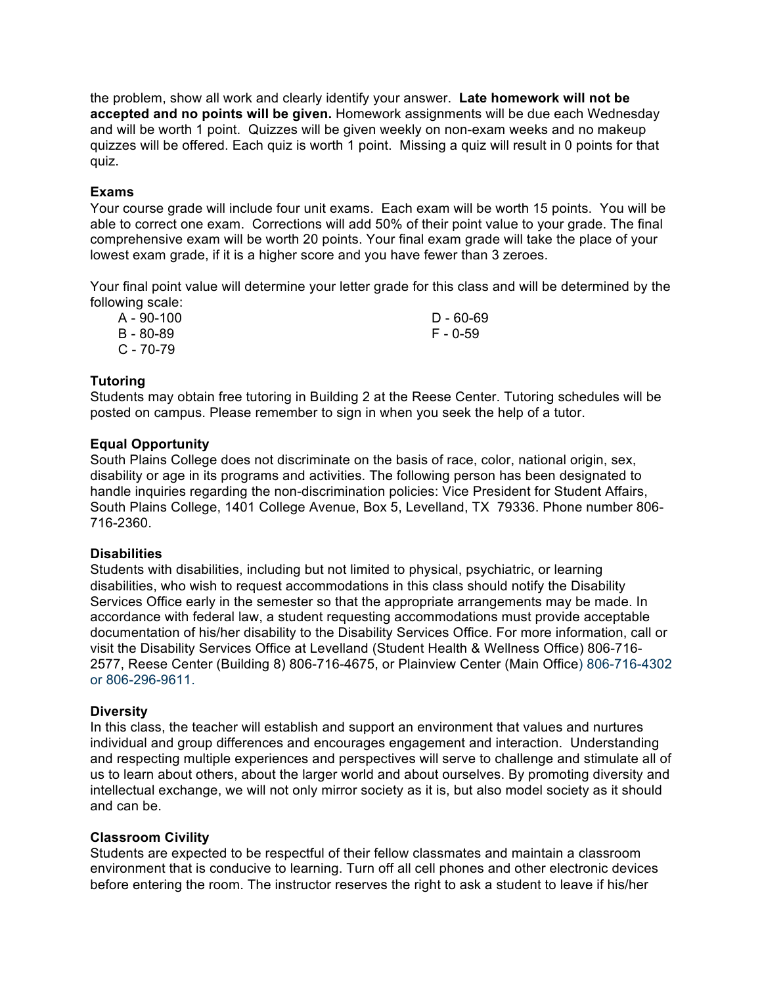the problem, show all work and clearly identify your answer. **Late homework will not be accepted and no points will be given.** Homework assignments will be due each Wednesday and will be worth 1 point. Quizzes will be given weekly on non-exam weeks and no makeup quizzes will be offered. Each quiz is worth 1 point. Missing a quiz will result in 0 points for that quiz.

### **Exams**

Your course grade will include four unit exams. Each exam will be worth 15 points. You will be able to correct one exam. Corrections will add 50% of their point value to your grade. The final comprehensive exam will be worth 20 points. Your final exam grade will take the place of your lowest exam grade, if it is a higher score and you have fewer than 3 zeroes.

Your final point value will determine your letter grade for this class and will be determined by the following scale:

| A - 90-100 | D - 60-69 |
|------------|-----------|
| B - 80-89  | F - 0-59  |
| C - 70-79  |           |

## **Tutoring**

Students may obtain free tutoring in Building 2 at the Reese Center. Tutoring schedules will be posted on campus. Please remember to sign in when you seek the help of a tutor.

## **Equal Opportunity**

South Plains College does not discriminate on the basis of race, color, national origin, sex, disability or age in its programs and activities. The following person has been designated to handle inquiries regarding the non-discrimination policies: Vice President for Student Affairs, South Plains College, 1401 College Avenue, Box 5, Levelland, TX 79336. Phone number 806- 716-2360.

#### **Disabilities**

Students with disabilities, including but not limited to physical, psychiatric, or learning disabilities, who wish to request accommodations in this class should notify the Disability Services Office early in the semester so that the appropriate arrangements may be made. In accordance with federal law, a student requesting accommodations must provide acceptable documentation of his/her disability to the Disability Services Office. For more information, call or visit the Disability Services Office at Levelland (Student Health & Wellness Office) 806-716- 2577, Reese Center (Building 8) 806-716-4675, or Plainview Center (Main Office) 806-716-4302 or 806-296-9611.

#### **Diversity**

In this class, the teacher will establish and support an environment that values and nurtures individual and group differences and encourages engagement and interaction. Understanding and respecting multiple experiences and perspectives will serve to challenge and stimulate all of us to learn about others, about the larger world and about ourselves. By promoting diversity and intellectual exchange, we will not only mirror society as it is, but also model society as it should and can be.

#### **Classroom Civility**

Students are expected to be respectful of their fellow classmates and maintain a classroom environment that is conducive to learning. Turn off all cell phones and other electronic devices before entering the room. The instructor reserves the right to ask a student to leave if his/her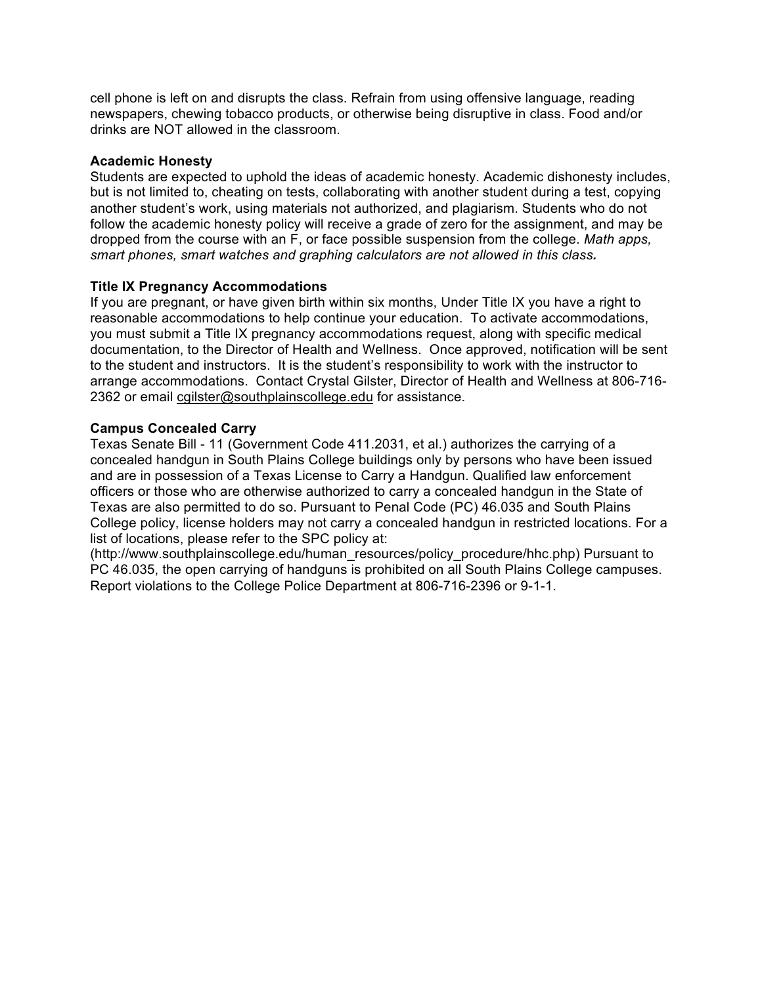cell phone is left on and disrupts the class. Refrain from using offensive language, reading newspapers, chewing tobacco products, or otherwise being disruptive in class. Food and/or drinks are NOT allowed in the classroom.

### **Academic Honesty**

Students are expected to uphold the ideas of academic honesty. Academic dishonesty includes, but is not limited to, cheating on tests, collaborating with another student during a test, copying another student's work, using materials not authorized, and plagiarism. Students who do not follow the academic honesty policy will receive a grade of zero for the assignment, and may be dropped from the course with an F, or face possible suspension from the college. *Math apps, smart phones, smart watches and graphing calculators are not allowed in this class.* 

## **Title IX Pregnancy Accommodations**

If you are pregnant, or have given birth within six months, Under Title IX you have a right to reasonable accommodations to help continue your education. To activate accommodations, you must submit a Title IX pregnancy accommodations request, along with specific medical documentation, to the Director of Health and Wellness. Once approved, notification will be sent to the student and instructors. It is the student's responsibility to work with the instructor to arrange accommodations. Contact Crystal Gilster, Director of Health and Wellness at 806-716- 2362 or email cgilster@southplainscollege.edu for assistance.

## **Campus Concealed Carry**

Texas Senate Bill - 11 (Government Code 411.2031, et al.) authorizes the carrying of a concealed handgun in South Plains College buildings only by persons who have been issued and are in possession of a Texas License to Carry a Handgun. Qualified law enforcement officers or those who are otherwise authorized to carry a concealed handgun in the State of Texas are also permitted to do so. Pursuant to Penal Code (PC) 46.035 and South Plains College policy, license holders may not carry a concealed handgun in restricted locations. For a list of locations, please refer to the SPC policy at:

(http://www.southplainscollege.edu/human\_resources/policy\_procedure/hhc.php) Pursuant to PC 46.035, the open carrying of handguns is prohibited on all South Plains College campuses. Report violations to the College Police Department at 806-716-2396 or 9-1-1.